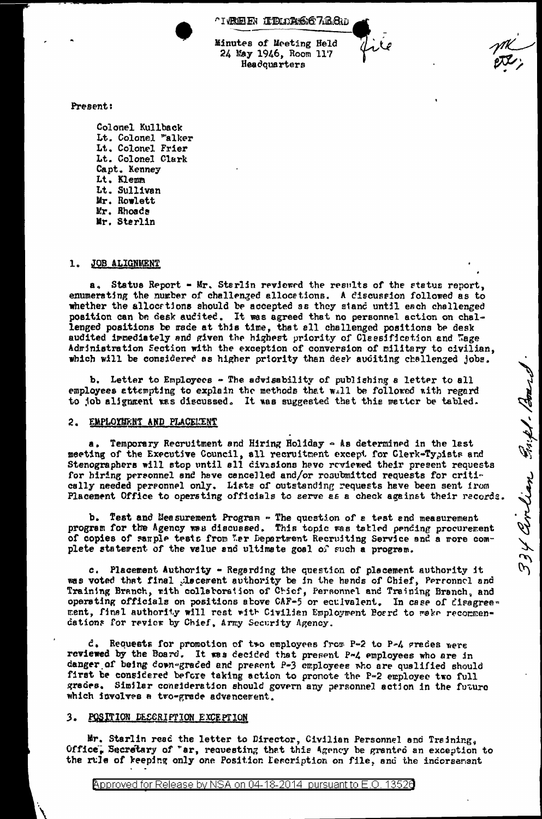**TREE IRLAS6768**w

Minutes of Meeting Held 24 May 1946, Room 117 Headquarters

Present:

Colonel Kullback Lt. Colonel "alker Lt. Colonel Frier Lt. Colonel Clark Capt. Kenney Lt. Klemm Lt. Sullivan Mr. Rowlett Mr. Rhoads Mr. Sterlin

#### JOB ALIGNMENT  $\mathbf{1}$

a. Status Report - Mr. Starlin reviewed the results of the status report. enumerating the number of challenged allocations. A discussion followed as to whether the allocations should be accepted as they stand until each challenged position can be desk audited. It was agreed that no personnel action on challenged positions be rade at this time, that all challenged positions be desk audited immediately and given the highest priority of Classification and Wage Adrinistration Section with the exception of conversion of military to civilian. which will be considered as higher priority than deel auditing challenged jobs.

b. Letter to Employees - The advisability of publishing a letter to all employees attempting to explain the methods that will be followed with regard to job alignment was discussed. It was suggested that this matter be tabled.

### 2. EMPLOYMENT AND PLACELENT

a. Temporary Recruitment and Hiring Holiday - As determined in the last meeting of the Executive Council, all recruitment except for Clerk-Typists and Stenographers will stop until all divisions have reviewed their present requests for hiring personnel and have cancelled and/or rosubmitted requests for critically needed personnel only. Lists of outstanding requests have been sent from Placement Office to operating officials to serve as a check against their records. 334 Cordian Park1. Boar

b. Test and Measurement Program - The question of a test and measurement program for the Agency was discussed. This topic was tatled pending procurement of copies of sample tests from Wer Department Recruiting Service and a more complete statement of the value and ultimate goal of such a program.

Placement Authority - Regarding the question of placement authority it  $c_{\perp}$ was voted that final placement authority be in the hands of Chief, Personnel and Training Branch, with collaboration of Chief, Personnel and Training Branch, and operating officials on positions above CAF-5 or eculvalent. In case of disagreement, final authority will rest with Civilian Employment Board to make recommendations for revier by Chief, Army Security Agency.

d. Requests for promotion of two employees from P-2 to P-4 grades were reviewed by the Board. It was decided that present P-4 employees who are in danger of being down-graded and present P-3 employees who are qualified should first be considered before taking action to pronote the P-2 employee two full grades. Similar consideration should govern any personnel action in the future which involves a two-grade advancement.

#### POSITION DESCRIPTION EXCEPTION 3.

Mr. Starlin read the letter to Director, Civilian Personnel and Training, Office, Secretary of "ar, requesting that this Agency be granted an exception to the rule of keeping only one Position Description on file, and the indorsement